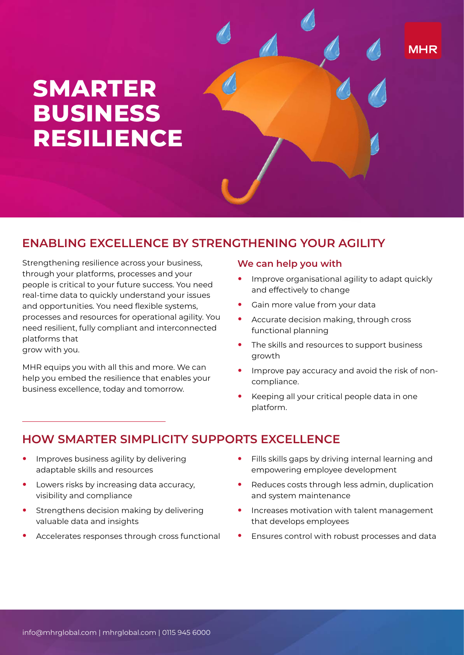# **SMARTER BUSINESS RESILIENCE**

## **ENABLING EXCELLENCE BY STRENGTHENING YOUR AGILITY**

Strengthening resilience across your business, through your platforms, processes and your people is critical to your future success. You need real-time data to quickly understand your issues and opportunities. You need flexible systems, processes and resources for operational agility. You need resilient, fully compliant and interconnected platforms that grow with you.

MHR equips you with all this and more. We can help you embed the resilience that enables your business excellence, today and tomorrow.

#### **We can help you with**

**•** Improve organisational agility to adapt quickly and effectively to change

**MHR** 

- **•** Gain more value from your data
- **•** Accurate decision making, through cross functional planning
- **•** The skills and resources to support business growth
- **•** Improve pay accuracy and avoid the risk of noncompliance.
- **•** Keeping all your critical people data in one platform.

## **HOW SMARTER SIMPLICITY SUPPORTS EXCELLENCE**

- **•** Improves business agility by delivering adaptable skills and resources
- **•** Lowers risks by increasing data accuracy, visibility and compliance
- **•** Strengthens decision making by delivering valuable data and insights
- **•** Accelerates responses through cross functional
- **•** Fills skills gaps by driving internal learning and empowering employee development
- **•** Reduces costs through less admin, duplication and system maintenance
- **•** Increases motivation with talent management that develops employees
- **•** Ensures control with robust processes and data